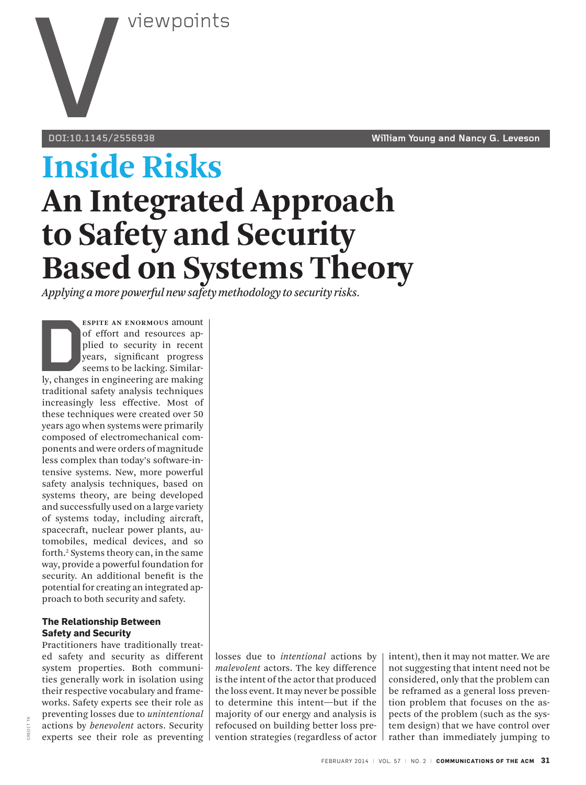

**DOI:10.1145/2556938 William Young and Nancy G. Leveson**

# **Inside Risks An Integrated Approach to Safety and Security Based on Systems Theory**

*Applying a more powerful new safety methodology to security risks.*

**ESPITE AN ENORMOUS** amount<br>
of effort and resources ap-<br>
plied to security in recent<br>
years, significant progress<br>
seems to be lacking. Similar-<br>
ly, changes in engineering are making<br>
traditional sefety analysis techniqu of effort and resources applied to security in recent years, significant progress seems to be lacking. Similartraditional safety analysis techniques increasingly less effective. Most of these techniques were created over 50 years ago when systems were primarily composed of electromechanical components and were orders of magnitude less complex than today's software-intensive systems. New, more powerful safety analysis techniques, based on systems theory, are being developed and successfully used on a large variety of systems today, including aircraft, spacecraft, nuclear power plants, automobiles, medical devices, and so forth.2 Systems theory can, in the same way, provide a powerful foundation for security. An additional benefit is the potential for creating an integrated approach to both security and safety.

## **The Relationship Between Safety and Security**

Practitioners have traditionally treated safety and security as different system properties. Both communities generally work in isolation using their respective vocabulary and frameworks. Safety experts see their role as preventing losses due to *unintentional* actions by *benevolent* actors. Security experts see their role as preventing

losses due to *intentional* actions by *malevolent* actors. The key difference is the intent of the actor that produced the loss event. It may never be possible to determine this intent—but if the majority of our energy and analysis is refocused on building better loss prevention strategies (regardless of actor intent), then it may not matter. We are not suggesting that intent need not be considered, only that the problem can be reframed as a general loss prevention problem that focuses on the aspects of the problem (such as the system design) that we have control over rather than immediately jumping to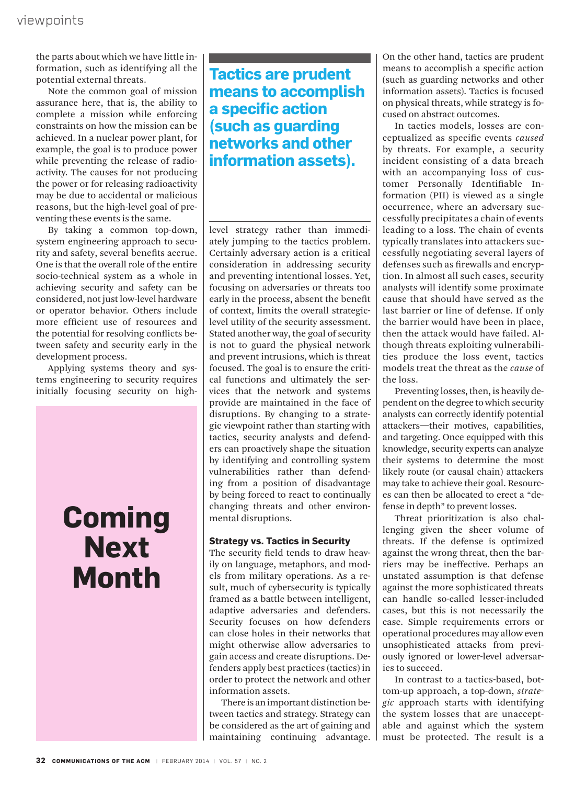the parts about which we have little information, such as identifying all the potential external threats.

Note the common goal of mission assurance here, that is, the ability to complete a mission while enforcing constraints on how the mission can be achieved. In a nuclear power plant, for example, the goal is to produce power while preventing the release of radioactivity. The causes for not producing the power or for releasing radioactivity may be due to accidental or malicious reasons, but the high-level goal of preventing these events is the same.

By taking a common top-down, system engineering approach to security and safety, several benefits accrue. One is that the overall role of the entire socio-technical system as a whole in achieving security and safety can be considered, not just low-level hardware or operator behavior. Others include more efficient use of resources and the potential for resolving conflicts between safety and security early in the development process.

Applying systems theory and systems engineering to security requires initially focusing security on high-

## **Coming Next Month**

## **Tactics are prudent means to accomplish a specific action (such as guarding networks and other information assets).**

level strategy rather than immediately jumping to the tactics problem. Certainly adversary action is a critical consideration in addressing security and preventing intentional losses. Yet, focusing on adversaries or threats too early in the process, absent the benefit of context, limits the overall strategiclevel utility of the security assessment. Stated another way, the goal of security is not to guard the physical network and prevent intrusions, which is threat focused. The goal is to ensure the critical functions and ultimately the services that the network and systems provide are maintained in the face of disruptions. By changing to a strategic viewpoint rather than starting with tactics, security analysts and defenders can proactively shape the situation by identifying and controlling system vulnerabilities rather than defending from a position of disadvantage by being forced to react to continually changing threats and other environmental disruptions.

### **Strategy vs. Tactics in Security**

The security field tends to draw heavily on language, metaphors, and models from military operations. As a result, much of cybersecurity is typically framed as a battle between intelligent, adaptive adversaries and defenders. Security focuses on how defenders can close holes in their networks that might otherwise allow adversaries to gain access and create disruptions. Defenders apply best practices (tactics) in order to protect the network and other information assets.

There is an important distinction between tactics and strategy. Strategy can be considered as the art of gaining and maintaining continuing advantage. On the other hand, tactics are prudent means to accomplish a specific action (such as guarding networks and other information assets). Tactics is focused on physical threats, while strategy is focused on abstract outcomes.

In tactics models, losses are conceptualized as specific events *caused* by threats. For example, a security incident consisting of a data breach with an accompanying loss of customer Personally Identifiable Information (PII) is viewed as a single occurrence, where an adversary successfully precipitates a chain of events leading to a loss. The chain of events typically translates into attackers successfully negotiating several layers of defenses such as firewalls and encryption. In almost all such cases, security analysts will identify some proximate cause that should have served as the last barrier or line of defense. If only the barrier would have been in place, then the attack would have failed. Although threats exploiting vulnerabilities produce the loss event, tactics models treat the threat as the *cause* of the loss.

Preventing losses, then, is heavily dependent on the degree to which security analysts can correctly identify potential attackers—their motives, capabilities, and targeting. Once equipped with this knowledge, security experts can analyze their systems to determine the most likely route (or causal chain) attackers may take to achieve their goal. Resources can then be allocated to erect a "defense in depth" to prevent losses.

Threat prioritization is also challenging given the sheer volume of threats. If the defense is optimized against the wrong threat, then the barriers may be ineffective. Perhaps an unstated assumption is that defense against the more sophisticated threats can handle so-called lesser-included cases, but this is not necessarily the case. Simple requirements errors or operational procedures may allow even unsophisticated attacks from previously ignored or lower-level adversaries to succeed.

In contrast to a tactics-based, bottom-up approach, a top-down, *strategic* approach starts with identifying the system losses that are unacceptable and against which the system must be protected. The result is a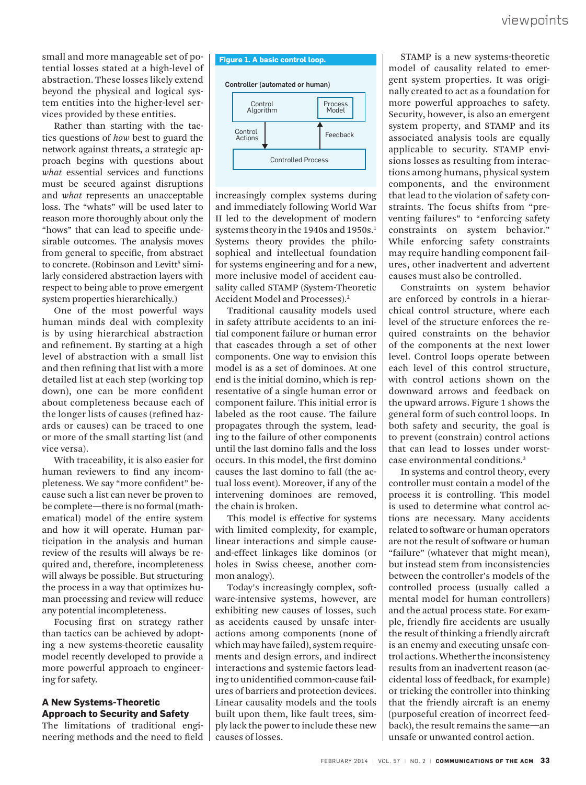small and more manageable set of potential losses stated at a high-level of abstraction. These losses likely extend beyond the physical and logical system entities into the higher-level services provided by these entities.

Rather than starting with the tactics questions of *how* best to guard the network against threats, a strategic approach begins with questions about *what* essential services and functions must be secured against disruptions and *what* represents an unacceptable loss. The "whats" will be used later to reason more thoroughly about only the "hows" that can lead to specific undesirable outcomes. The analysis moves from general to specific, from abstract to concrete. (Robinson and Levitt<sup>5</sup> similarly considered abstraction layers with respect to being able to prove emergent system properties hierarchically.)

One of the most powerful ways human minds deal with complexity is by using hierarchical abstraction and refinement. By starting at a high level of abstraction with a small list and then refining that list with a more detailed list at each step (working top down), one can be more confident about completeness because each of the longer lists of causes (refined hazards or causes) can be traced to one or more of the small starting list (and vice versa).

With traceability, it is also easier for human reviewers to find any incompleteness. We say "more confident" because such a list can never be proven to be complete—there is no formal (mathematical) model of the entire system and how it will operate. Human participation in the analysis and human review of the results will always be required and, therefore, incompleteness will always be possible. But structuring the process in a way that optimizes human processing and review will reduce any potential incompleteness.

Focusing first on strategy rather than tactics can be achieved by adopting a new systems-theoretic causality model recently developed to provide a more powerful approach to engineering for safety.

## **A New Systems-Theoretic Approach to Security and Safety**

The limitations of traditional engineering methods and the need to field



increasingly complex systems during and immediately following World War II led to the development of modern systems theory in the 1940s and 1950s.<sup>1</sup> Systems theory provides the philosophical and intellectual foundation for systems engineering and for a new, more inclusive model of accident causality called STAMP (System-Theoretic Accident Model and Processes).<sup>2</sup>

Traditional causality models used in safety attribute accidents to an initial component failure or human error that cascades through a set of other components. One way to envision this model is as a set of dominoes. At one end is the initial domino, which is representative of a single human error or component failure. This initial error is labeled as the root cause. The failure propagates through the system, leading to the failure of other components until the last domino falls and the loss occurs. In this model, the first domino causes the last domino to fall (the actual loss event). Moreover, if any of the intervening dominoes are removed, the chain is broken.

This model is effective for systems with limited complexity, for example, linear interactions and simple causeand-effect linkages like dominos (or holes in Swiss cheese, another common analogy).

Today's increasingly complex, software-intensive systems, however, are exhibiting new causes of losses, such as accidents caused by unsafe interactions among components (none of which may have failed), system requirements and design errors, and indirect interactions and systemic factors leading to unidentified common-cause failures of barriers and protection devices. Linear causality models and the tools built upon them, like fault trees, simply lack the power to include these new causes of losses.

STAMP is a new systems-theoretic model of causality related to emergent system properties. It was originally created to act as a foundation for more powerful approaches to safety. Security, however, is also an emergent system property, and STAMP and its associated analysis tools are equally applicable to security. STAMP envisions losses as resulting from interactions among humans, physical system components, and the environment that lead to the violation of safety constraints. The focus shifts from "preventing failures" to "enforcing safety constraints on system behavior." While enforcing safety constraints may require handling component failures, other inadvertent and advertent causes must also be controlled.

Constraints on system behavior are enforced by controls in a hierarchical control structure, where each level of the structure enforces the required constraints on the behavior of the components at the next lower level. Control loops operate between each level of this control structure, with control actions shown on the downward arrows and feedback on the upward arrows. Figure 1 shows the general form of such control loops. In both safety and security, the goal is to prevent (constrain) control actions that can lead to losses under worstcase environmental conditions.3

In systems and control theory, every controller must contain a model of the process it is controlling. This model is used to determine what control actions are necessary. Many accidents related to software or human operators are not the result of software or human "failure" (whatever that might mean), but instead stem from inconsistencies between the controller's models of the controlled process (usually called a mental model for human controllers) and the actual process state. For example, friendly fire accidents are usually the result of thinking a friendly aircraft is an enemy and executing unsafe control actions. Whether the inconsistency results from an inadvertent reason (accidental loss of feedback, for example) or tricking the controller into thinking that the friendly aircraft is an enemy (purposeful creation of incorrect feedback), the result remains the same—an unsafe or unwanted control action.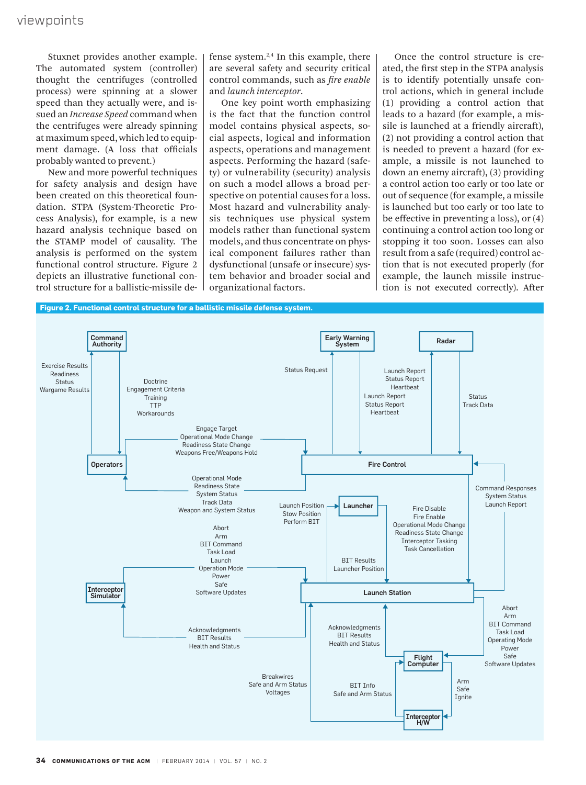Stuxnet provides another example. The automated system (controller) thought the centrifuges (controlled process) were spinning at a slower speed than they actually were, and issued an *Increase Speed* command when the centrifuges were already spinning at maximum speed, which led to equipment damage. (A loss that officials probably wanted to prevent.)

New and more powerful techniques for safety analysis and design have been created on this theoretical foundation. STPA (System-Theoretic Process Analysis), for example, is a new hazard analysis technique based on the STAMP model of causality. The analysis is performed on the system functional control structure. Figure 2 depicts an illustrative functional control structure for a ballistic-missile defense system. $2,4$  In this example, there are several safety and security critical control commands, such as *fire enable*  and *launch interceptor*.

One key point worth emphasizing is the fact that the function control model contains physical aspects, social aspects, logical and information aspects, operations and management aspects. Performing the hazard (safety) or vulnerability (security) analysis on such a model allows a broad perspective on potential causes for a loss. Most hazard and vulnerability analysis techniques use physical system models rather than functional system models, and thus concentrate on physical component failures rather than dysfunctional (unsafe or insecure) system behavior and broader social and organizational factors.

Once the control structure is created, the first step in the STPA analysis is to identify potentially unsafe control actions, which in general include (1) providing a control action that leads to a hazard (for example, a missile is launched at a friendly aircraft), (2) not providing a control action that is needed to prevent a hazard (for example, a missile is not launched to down an enemy aircraft), (3) providing a control action too early or too late or out of sequence (for example, a missile is launched but too early or too late to be effective in preventing a loss), or (4) continuing a control action too long or stopping it too soon. Losses can also result from a safe (required) control action that is not executed properly (for example, the launch missile instruction is not executed correctly). After